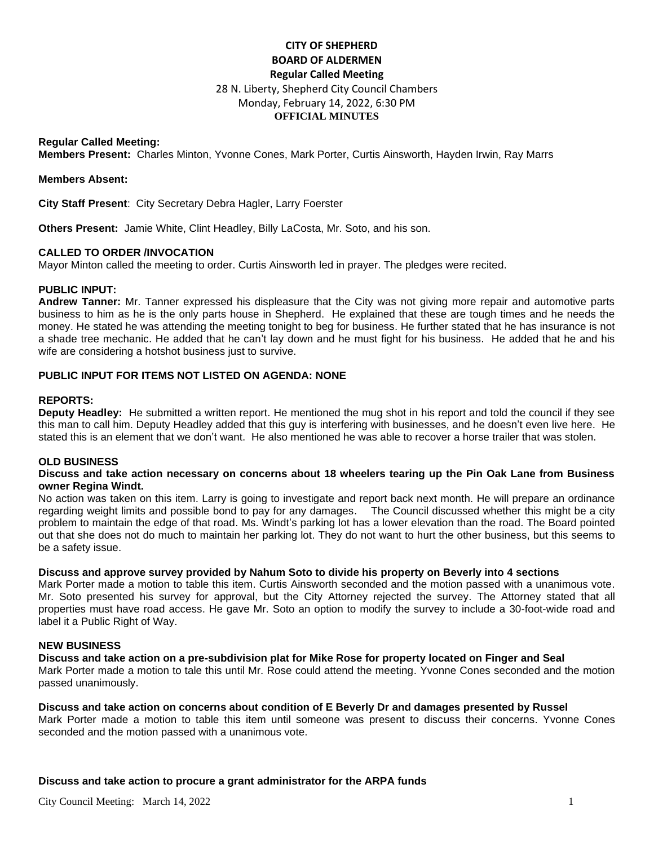# **CITY OF SHEPHERD BOARD OF ALDERMEN Regular Called Meeting**  28 N. Liberty, Shepherd City Council Chambers Monday, February 14, 2022, 6:30 PM **OFFICIAL MINUTES**

### **Regular Called Meeting:**

**Members Present:** Charles Minton, Yvonne Cones, Mark Porter, Curtis Ainsworth, Hayden Irwin, Ray Marrs

#### **Members Absent:**

**City Staff Present**: City Secretary Debra Hagler, Larry Foerster

**Others Present:** Jamie White, Clint Headley, Billy LaCosta, Mr. Soto, and his son.

## **CALLED TO ORDER /INVOCATION**

Mayor Minton called the meeting to order. Curtis Ainsworth led in prayer. The pledges were recited.

### **PUBLIC INPUT:**

**Andrew Tanner:** Mr. Tanner expressed his displeasure that the City was not giving more repair and automotive parts business to him as he is the only parts house in Shepherd. He explained that these are tough times and he needs the money. He stated he was attending the meeting tonight to beg for business. He further stated that he has insurance is not a shade tree mechanic. He added that he can't lay down and he must fight for his business. He added that he and his wife are considering a hotshot business just to survive.

# **PUBLIC INPUT FOR ITEMS NOT LISTED ON AGENDA: NONE**

### **REPORTS:**

**Deputy Headley:** He submitted a written report. He mentioned the mug shot in his report and told the council if they see this man to call him. Deputy Headley added that this guy is interfering with businesses, and he doesn't even live here. He stated this is an element that we don't want. He also mentioned he was able to recover a horse trailer that was stolen.

## **OLD BUSINESS**

#### **Discuss and take action necessary on concerns about 18 wheelers tearing up the Pin Oak Lane from Business owner Regina Windt.**

No action was taken on this item. Larry is going to investigate and report back next month. He will prepare an ordinance regarding weight limits and possible bond to pay for any damages. The Council discussed whether this might be a city problem to maintain the edge of that road. Ms. Windt's parking lot has a lower elevation than the road. The Board pointed out that she does not do much to maintain her parking lot. They do not want to hurt the other business, but this seems to be a safety issue.

## **Discuss and approve survey provided by Nahum Soto to divide his property on Beverly into 4 sections**

Mark Porter made a motion to table this item. Curtis Ainsworth seconded and the motion passed with a unanimous vote. Mr. Soto presented his survey for approval, but the City Attorney rejected the survey. The Attorney stated that all properties must have road access. He gave Mr. Soto an option to modify the survey to include a 30-foot-wide road and label it a Public Right of Way.

#### **NEW BUSINESS**

## **Discuss and take action on a pre-subdivision plat for Mike Rose for property located on Finger and Seal**

Mark Porter made a motion to tale this until Mr. Rose could attend the meeting. Yvonne Cones seconded and the motion passed unanimously.

#### **Discuss and take action on concerns about condition of E Beverly Dr and damages presented by Russel**

Mark Porter made a motion to table this item until someone was present to discuss their concerns. Yvonne Cones seconded and the motion passed with a unanimous vote.

#### **Discuss and take action to procure a grant administrator for the ARPA funds**